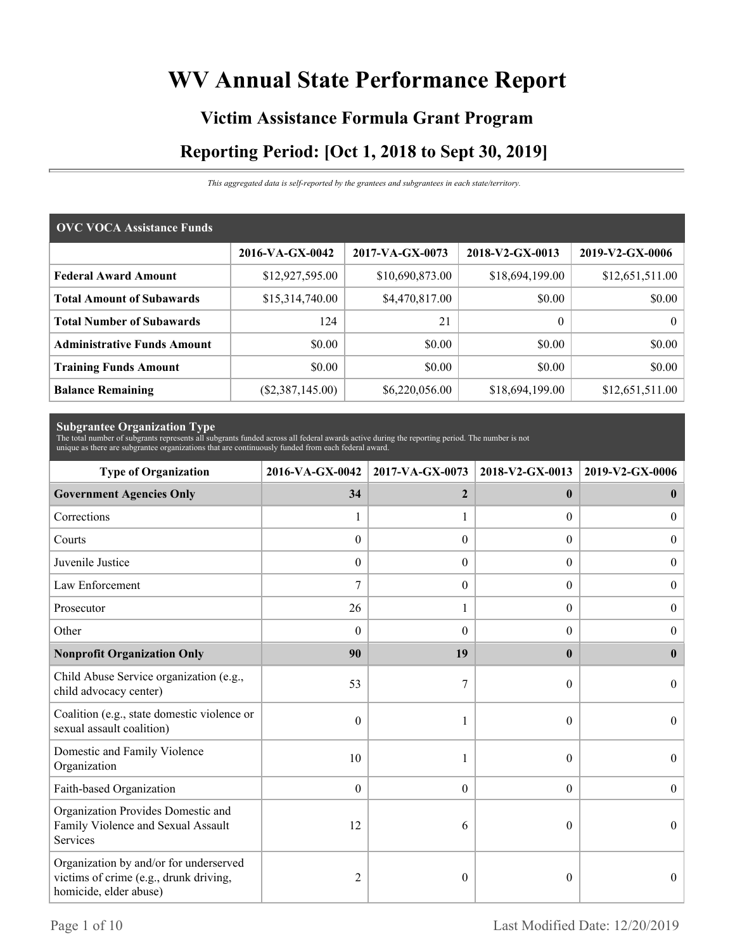# **WV Annual State Performance Report**

# **Victim Assistance Formula Grant Program Reporting Period: [Oct 1, 2018 to Sept 30, 2019]**

*This aggregated data is self-reported by the grantees and subgrantees in each state/territory.*

| <b>OVC VOCA Assistance Funds</b>   |                    |                 |                  |                 |  |  |  |
|------------------------------------|--------------------|-----------------|------------------|-----------------|--|--|--|
|                                    | 2016-VA-GX-0042    | 2017-VA-GX-0073 | 2018-V2-GX-0013  | 2019-V2-GX-0006 |  |  |  |
| <b>Federal Award Amount</b>        | \$12,927,595.00    | \$10,690,873.00 | \$18,694,199.00  | \$12,651,511.00 |  |  |  |
| <b>Total Amount of Subawards</b>   | \$15,314,740.00    | \$4,470,817.00  | \$0.00           | \$0.00          |  |  |  |
| <b>Total Number of Subawards</b>   | 124                | 21              | $\boldsymbol{0}$ | $\overline{0}$  |  |  |  |
| <b>Administrative Funds Amount</b> | \$0.00             | \$0.00          | \$0.00           | \$0.00          |  |  |  |
| <b>Training Funds Amount</b>       | \$0.00             | \$0.00          | \$0.00           | \$0.00          |  |  |  |
| <b>Balance Remaining</b>           | $(\$2,387,145.00)$ | \$6,220,056.00  | \$18,694,199.00  | \$12,651,511.00 |  |  |  |

**Subgrantee Organization Type** The total number of subgrants represents all subgrants funded across all federal awards active during the reporting period. The number is not unique as there are subgrantee organizations that are continuously funded from each federal award.

| <b>Type of Organization</b>                                                                                | 2017-VA-GX-0073<br>2016-VA-GX-0042 |                  | 2018-V2-GX-0013  | 2019-V2-GX-0006  |  |
|------------------------------------------------------------------------------------------------------------|------------------------------------|------------------|------------------|------------------|--|
| <b>Government Agencies Only</b>                                                                            | 34                                 | $\overline{2}$   | $\mathbf{0}$     | $\bf{0}$         |  |
| Corrections                                                                                                | 1                                  |                  | $\Omega$         | $\overline{0}$   |  |
| Courts                                                                                                     | $\theta$                           | $\Omega$         | $\Omega$         | $\theta$         |  |
| Juvenile Justice                                                                                           | $\boldsymbol{0}$                   | $\boldsymbol{0}$ | $\boldsymbol{0}$ | $\boldsymbol{0}$ |  |
| Law Enforcement                                                                                            | $\overline{7}$                     | $\boldsymbol{0}$ | $\boldsymbol{0}$ | $\boldsymbol{0}$ |  |
| Prosecutor                                                                                                 | 26                                 | 1                | $\Omega$         | $\overline{0}$   |  |
| Other                                                                                                      | $\theta$                           | $\Omega$         | $\theta$         | $\theta$         |  |
| <b>Nonprofit Organization Only</b>                                                                         | 90                                 | 19               | $\mathbf{0}$     | $\mathbf{0}$     |  |
| Child Abuse Service organization (e.g.,<br>child advocacy center)                                          | 53                                 | 7                | $\theta$         | $\theta$         |  |
| Coalition (e.g., state domestic violence or<br>sexual assault coalition)                                   | $\mathbf{0}$                       |                  | $\theta$         | $\theta$         |  |
| Domestic and Family Violence<br>Organization                                                               | 10                                 |                  | $\theta$         | $\Omega$         |  |
| Faith-based Organization                                                                                   | $\boldsymbol{0}$                   | $\boldsymbol{0}$ | $\overline{0}$   | $\theta$         |  |
| Organization Provides Domestic and<br>Family Violence and Sexual Assault<br>Services                       | 12                                 | 6                | $\theta$         | $\theta$         |  |
| Organization by and/or for underserved<br>victims of crime (e.g., drunk driving,<br>homicide, elder abuse) | 2                                  | $\theta$         | 0                | $\theta$         |  |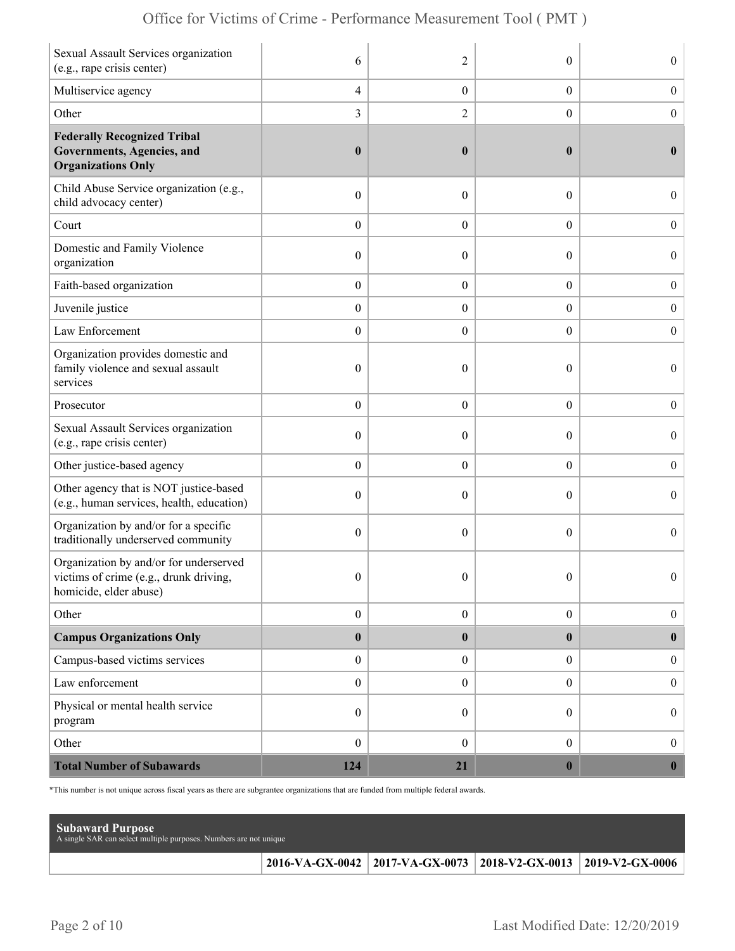| Sexual Assault Services organization<br>(e.g., rape crisis center)                                        | 6                | $\overline{2}$   | $\theta$         | $\overline{0}$   |
|-----------------------------------------------------------------------------------------------------------|------------------|------------------|------------------|------------------|
| Multiservice agency                                                                                       | $\overline{4}$   | $\boldsymbol{0}$ | $\boldsymbol{0}$ | $\boldsymbol{0}$ |
| Other                                                                                                     | 3                | $\overline{c}$   | $\boldsymbol{0}$ | $\boldsymbol{0}$ |
| <b>Federally Recognized Tribal</b><br>Governments, Agencies, and<br><b>Organizations Only</b>             | $\boldsymbol{0}$ | $\boldsymbol{0}$ | $\bf{0}$         | $\mathbf{0}$     |
| Child Abuse Service organization (e.g.,<br>child advocacy center)                                         | $\boldsymbol{0}$ | $\theta$         | $\theta$         | $\overline{0}$   |
| Court                                                                                                     | $\boldsymbol{0}$ | $\theta$         | $\overline{0}$   | $\boldsymbol{0}$ |
| Domestic and Family Violence<br>organization                                                              | $\boldsymbol{0}$ | $\theta$         | $\theta$         | $\overline{0}$   |
| Faith-based organization                                                                                  | $\boldsymbol{0}$ | $\boldsymbol{0}$ | $\boldsymbol{0}$ | $\boldsymbol{0}$ |
| Juvenile justice                                                                                          | $\boldsymbol{0}$ | $\overline{0}$   | $\overline{0}$   | $\boldsymbol{0}$ |
| Law Enforcement                                                                                           | $\boldsymbol{0}$ | $\theta$         | $\theta$         | $\mathbf{0}$     |
| Organization provides domestic and<br>family violence and sexual assault<br>services                      | $\boldsymbol{0}$ | $\mathbf{0}$     | $\theta$         | $\overline{0}$   |
| Prosecutor                                                                                                | $\boldsymbol{0}$ | $\theta$         | $\overline{0}$   | $\boldsymbol{0}$ |
| Sexual Assault Services organization<br>(e.g., rape crisis center)                                        | $\boldsymbol{0}$ | $\theta$         | $\theta$         | $\overline{0}$   |
| Other justice-based agency                                                                                | $\boldsymbol{0}$ | $\boldsymbol{0}$ | $\boldsymbol{0}$ | $\boldsymbol{0}$ |
| Other agency that is NOT justice-based<br>(e.g., human services, health, education)                       | $\boldsymbol{0}$ | $\theta$         | $\theta$         | $\boldsymbol{0}$ |
| Organization by and/or for a specific<br>traditionally underserved community                              | $\mathbf{0}$     | $\theta$         | $\theta$         | $\overline{0}$   |
| Organization by and/or for underserved<br>victims of crime (e.g., drunk driving<br>homicide, elder abuse) | $\boldsymbol{0}$ | $\boldsymbol{0}$ | $\Omega$         | $\Omega$         |
| Other                                                                                                     | $\boldsymbol{0}$ | $\boldsymbol{0}$ | $\boldsymbol{0}$ | $\boldsymbol{0}$ |
| <b>Campus Organizations Only</b>                                                                          | $\pmb{0}$        | $\bf{0}$         | $\bf{0}$         | $\bf{0}$         |
| Campus-based victims services                                                                             | $\boldsymbol{0}$ | $\overline{0}$   | $\overline{0}$   | $\boldsymbol{0}$ |
| Law enforcement                                                                                           | $\boldsymbol{0}$ | $\mathbf{0}$     | $\overline{0}$   | $\boldsymbol{0}$ |
| Physical or mental health service<br>program                                                              | $\boldsymbol{0}$ | $\boldsymbol{0}$ | $\overline{0}$   | $\boldsymbol{0}$ |
| Other                                                                                                     | $\boldsymbol{0}$ | $\mathbf{0}$     | $\overline{0}$   | $\boldsymbol{0}$ |
| <b>Total Number of Subawards</b>                                                                          | 124              | 21               | $\boldsymbol{0}$ | $\boldsymbol{0}$ |

\*This number is not unique across fiscal years as there are subgrantee organizations that are funded from multiple federal awards.

| <b>Subaward Purpose</b><br>A single SAR can select multiple purposes. Numbers are not unique |                                                                       |  |
|----------------------------------------------------------------------------------------------|-----------------------------------------------------------------------|--|
|                                                                                              | 2016-VA-GX-0042   2017-VA-GX-0073   2018-V2-GX-0013   2019-V2-GX-0006 |  |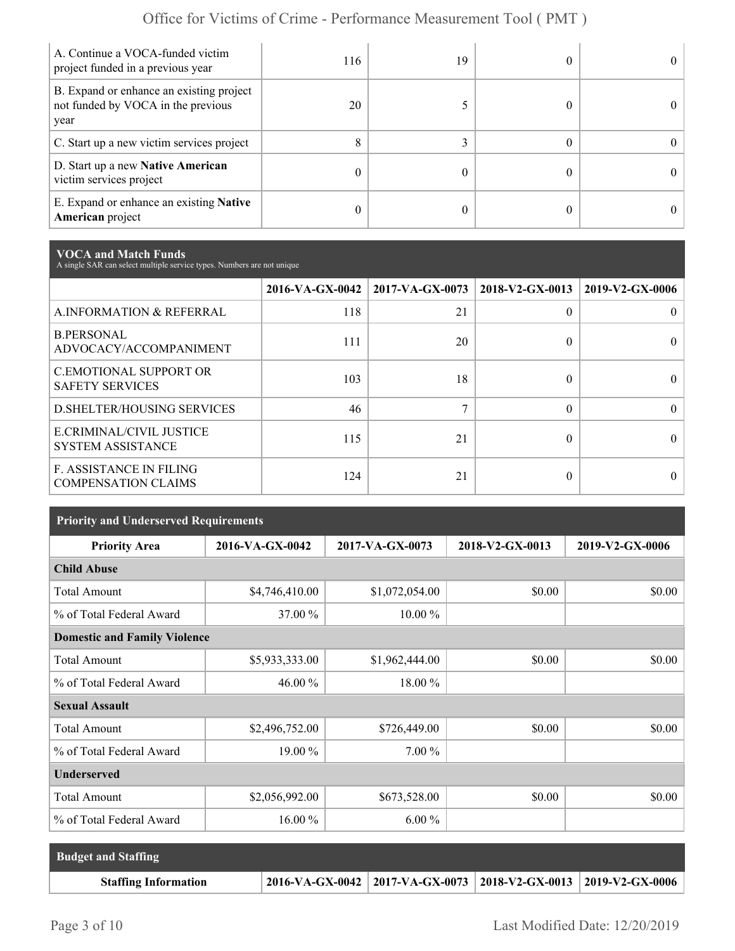| A. Continue a VOCA-funded victim<br>project funded in a previous year                  | 116 | 19 | 0          |
|----------------------------------------------------------------------------------------|-----|----|------------|
| B. Expand or enhance an existing project<br>not funded by VOCA in the previous<br>year | 20  |    | 0          |
| C. Start up a new victim services project                                              | 8   |    | 0          |
| D. Start up a new Native American<br>victim services project                           |     |    | $^{\circ}$ |
| E. Expand or enhance an existing <b>Native</b><br><b>American</b> project              |     |    |            |

**VOCA and Match Funds** A single SAR can select multiple service types. Numbers are not unique

|                                                              |     | $2016\text{-VA-GX-0042}$   2017-VA-GX-0073   2018-V2-GX-0013 |          | 2019-V2-GX-0006 |
|--------------------------------------------------------------|-----|--------------------------------------------------------------|----------|-----------------|
| A.INFORMATION & REFERRAL                                     | 118 | 21                                                           | $\Omega$ |                 |
| <b>B.PERSONAL</b><br>ADVOCACY/ACCOMPANIMENT                  | 111 | 20                                                           | 0        |                 |
| <b>C.EMOTIONAL SUPPORT OR</b><br><b>SAFETY SERVICES</b>      | 103 | 18                                                           | 0        |                 |
| <b>D.SHELTER/HOUSING SERVICES</b>                            | 46  |                                                              | $\Omega$ |                 |
| E.CRIMINAL/CIVIL JUSTICE<br><b>SYSTEM ASSISTANCE</b>         | 115 | 21                                                           | 0        |                 |
| <b>F. ASSISTANCE IN FILING</b><br><b>COMPENSATION CLAIMS</b> | 124 | 21                                                           | 0        |                 |

| <b>Priority and Underserved Requirements</b> |                 |                 |                 |                 |  |  |  |
|----------------------------------------------|-----------------|-----------------|-----------------|-----------------|--|--|--|
| <b>Priority Area</b>                         | 2016-VA-GX-0042 | 2017-VA-GX-0073 | 2018-V2-GX-0013 | 2019-V2-GX-0006 |  |  |  |
| <b>Child Abuse</b>                           |                 |                 |                 |                 |  |  |  |
| <b>Total Amount</b>                          | \$4,746,410.00  | \$1,072,054.00  | \$0.00          | \$0.00          |  |  |  |
| % of Total Federal Award                     | 37.00 %         | $10.00\%$       |                 |                 |  |  |  |
| <b>Domestic and Family Violence</b>          |                 |                 |                 |                 |  |  |  |
| <b>Total Amount</b>                          | \$5,933,333.00  | \$1,962,444.00  | \$0.00          | \$0.00          |  |  |  |
| % of Total Federal Award                     | 46.00 %         | 18.00 %         |                 |                 |  |  |  |
| <b>Sexual Assault</b>                        |                 |                 |                 |                 |  |  |  |
| <b>Total Amount</b>                          | \$2,496,752.00  | \$726,449.00    | \$0.00          | \$0.00          |  |  |  |
| % of Total Federal Award                     | 19.00 %         | 7.00 %          |                 |                 |  |  |  |
| <b>Underserved</b>                           |                 |                 |                 |                 |  |  |  |
| <b>Total Amount</b>                          | \$2,056,992.00  | \$673,528.00    | \$0.00          | \$0.00          |  |  |  |
| % of Total Federal Award                     | $16.00\%$       | $6.00\%$        |                 |                 |  |  |  |

| <b>Budget and Staffing</b>  |                                                                          |  |
|-----------------------------|--------------------------------------------------------------------------|--|
| <b>Staffing Information</b> | $2016$ -VA-GX-0042   2017-VA-GX-0073   2018-V2-GX-0013   2019-V2-GX-0006 |  |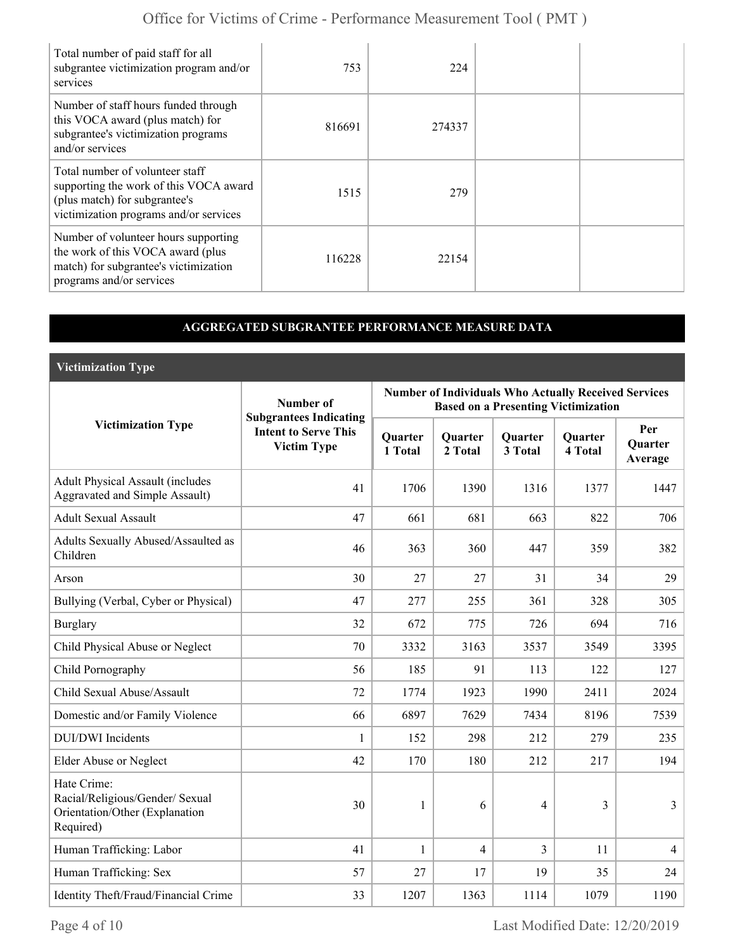| Total number of paid staff for all<br>subgrantee victimization program and/or<br>services                                                            | 753    | 224    |  |
|------------------------------------------------------------------------------------------------------------------------------------------------------|--------|--------|--|
| Number of staff hours funded through<br>this VOCA award (plus match) for<br>subgrantee's victimization programs<br>and/or services                   | 816691 | 274337 |  |
| Total number of volunteer staff<br>supporting the work of this VOCA award<br>(plus match) for subgrantee's<br>victimization programs and/or services | 1515   | 279    |  |
| Number of volunteer hours supporting<br>the work of this VOCA award (plus<br>match) for subgrantee's victimization<br>programs and/or services       | 116228 | 22154  |  |

### **AGGREGATED SUBGRANTEE PERFORMANCE MEASURE DATA**

**Victimization Type**

|                                                                                               | Number of                                                                          | <b>Number of Individuals Who Actually Received Services</b><br><b>Based on a Presenting Victimization</b> |                           |                    |                           |                                  |  |
|-----------------------------------------------------------------------------------------------|------------------------------------------------------------------------------------|-----------------------------------------------------------------------------------------------------------|---------------------------|--------------------|---------------------------|----------------------------------|--|
| <b>Victimization Type</b>                                                                     | <b>Subgrantees Indicating</b><br><b>Intent to Serve This</b><br><b>Victim Type</b> | Quarter<br>1 Total                                                                                        | <b>Quarter</b><br>2 Total | Quarter<br>3 Total | <b>Quarter</b><br>4 Total | Per<br><b>Ouarter</b><br>Average |  |
| <b>Adult Physical Assault (includes</b><br><b>Aggravated and Simple Assault)</b>              | 41                                                                                 | 1706                                                                                                      | 1390                      | 1316               | 1377                      | 1447                             |  |
| <b>Adult Sexual Assault</b>                                                                   | 47                                                                                 | 661                                                                                                       | 681                       | 663                | 822                       | 706                              |  |
| Adults Sexually Abused/Assaulted as<br>Children                                               | 46                                                                                 | 363                                                                                                       | 360                       | 447                | 359                       | 382                              |  |
| Arson                                                                                         | 30                                                                                 | 27                                                                                                        | 27                        | 31                 | 34                        | 29                               |  |
| Bullying (Verbal, Cyber or Physical)                                                          | 47                                                                                 | 277                                                                                                       | 255                       | 361                | 328                       | 305                              |  |
| <b>Burglary</b>                                                                               | 32                                                                                 | 672                                                                                                       | 775                       | 726                | 694                       | 716                              |  |
| Child Physical Abuse or Neglect                                                               | 70                                                                                 | 3332                                                                                                      | 3163                      | 3537               | 3549                      | 3395                             |  |
| Child Pornography                                                                             | 56                                                                                 | 185                                                                                                       | 91                        | 113                | 122                       | 127                              |  |
| Child Sexual Abuse/Assault                                                                    | 72                                                                                 | 1774                                                                                                      | 1923                      | 1990               | 2411                      | 2024                             |  |
| Domestic and/or Family Violence                                                               | 66                                                                                 | 6897                                                                                                      | 7629                      | 7434               | 8196                      | 7539                             |  |
| <b>DUI/DWI</b> Incidents                                                                      | $\mathbf{1}$                                                                       | 152                                                                                                       | 298                       | 212                | 279                       | 235                              |  |
| Elder Abuse or Neglect                                                                        | 42                                                                                 | 170                                                                                                       | 180                       | 212                | 217                       | 194                              |  |
| Hate Crime:<br>Racial/Religious/Gender/ Sexual<br>Orientation/Other (Explanation<br>Required) | 30                                                                                 | 1                                                                                                         | 6                         | $\overline{4}$     | 3                         | 3                                |  |
| Human Trafficking: Labor                                                                      | 41                                                                                 | $\mathbf{1}$                                                                                              | $\overline{4}$            | 3                  | 11                        | $\overline{4}$                   |  |
| Human Trafficking: Sex                                                                        | 57                                                                                 | 27                                                                                                        | 17                        | 19                 | 35                        | 24                               |  |
| Identity Theft/Fraud/Financial Crime                                                          | 33                                                                                 | 1207                                                                                                      | 1363                      | 1114               | 1079                      | 1190                             |  |

Page 4 of 10 Last Modified Date: 12/20/2019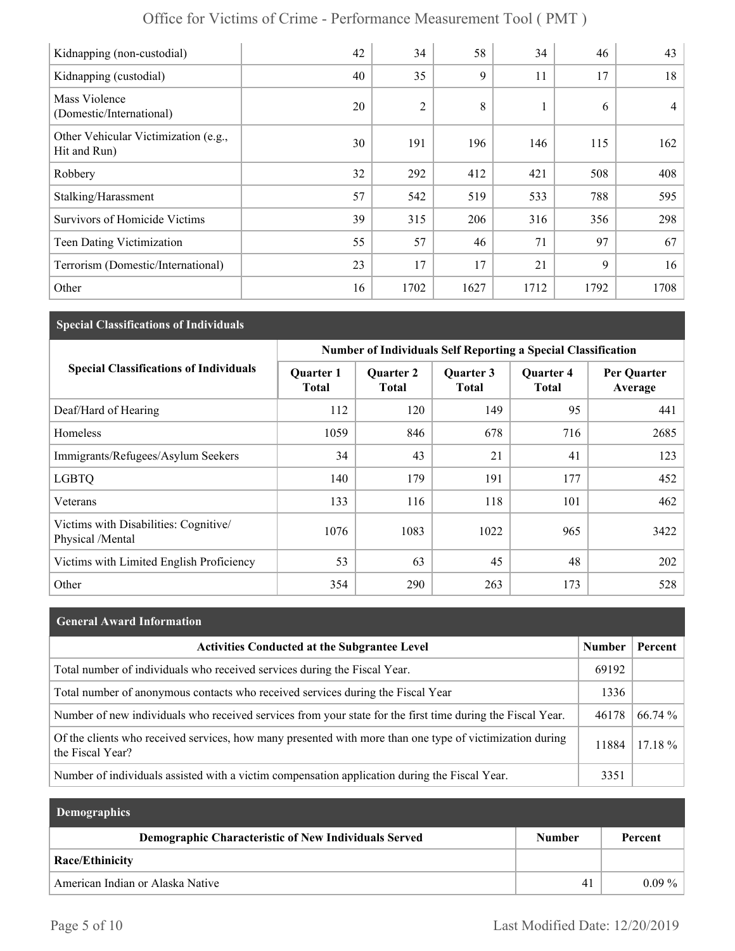| Kidnapping (non-custodial)                           | 42 | 34             | 58   | 34   | 46   | 43             |
|------------------------------------------------------|----|----------------|------|------|------|----------------|
| Kidnapping (custodial)                               | 40 | 35             | 9    | 11   | 17   | 18             |
| Mass Violence<br>(Domestic/International)            | 20 | $\overline{2}$ | 8    | 1    | 6    | $\overline{4}$ |
| Other Vehicular Victimization (e.g.,<br>Hit and Run) | 30 | 191            | 196  | 146  | 115  | 162            |
| Robbery                                              | 32 | 292            | 412  | 421  | 508  | 408            |
| Stalking/Harassment                                  | 57 | 542            | 519  | 533  | 788  | 595            |
| <b>Survivors of Homicide Victims</b>                 | 39 | 315            | 206  | 316  | 356  | 298            |
| <b>Teen Dating Victimization</b>                     | 55 | 57             | 46   | 71   | 97   | 67             |
| Terrorism (Domestic/International)                   | 23 | 17             | 17   | 21   | 9    | 16             |
| Other                                                | 16 | 1702           | 1627 | 1712 | 1792 | 1708           |

## **Special Classifications of Individuals**

|                                                           | <b>Number of Individuals Self Reporting a Special Classification</b> |                                  |                           |                                  |                        |  |
|-----------------------------------------------------------|----------------------------------------------------------------------|----------------------------------|---------------------------|----------------------------------|------------------------|--|
| <b>Special Classifications of Individuals</b>             | <b>Quarter 1</b><br><b>Total</b>                                     | <b>Quarter 2</b><br><b>Total</b> | Quarter 3<br><b>Total</b> | <b>Quarter 4</b><br><b>Total</b> | Per Quarter<br>Average |  |
| Deaf/Hard of Hearing                                      | 112                                                                  | 120                              | 149                       | 95                               | 441                    |  |
| Homeless                                                  | 1059                                                                 | 846                              | 678                       | 716                              | 2685                   |  |
| Immigrants/Refugees/Asylum Seekers                        | 34                                                                   | 43                               | 21                        | 41                               | 123                    |  |
| <b>LGBTQ</b>                                              | 140                                                                  | 179                              | 191                       | 177                              | 452                    |  |
| Veterans                                                  | 133                                                                  | 116                              | 118                       | 101                              | 462                    |  |
| Victims with Disabilities: Cognitive/<br>Physical /Mental | 1076                                                                 | 1083                             | 1022                      | 965                              | 3422                   |  |
| Victims with Limited English Proficiency                  | 53                                                                   | 63                               | 45                        | 48                               | 202                    |  |
| Other                                                     | 354                                                                  | 290                              | 263                       | 173                              | 528                    |  |

## **General Award Information**

| <b>Activities Conducted at the Subgrantee Level</b>                                                                          | Number | Percent |
|------------------------------------------------------------------------------------------------------------------------------|--------|---------|
| Total number of individuals who received services during the Fiscal Year.                                                    | 69192  |         |
| Total number of anonymous contacts who received services during the Fiscal Year                                              | 1336   |         |
| Number of new individuals who received services from your state for the first time during the Fiscal Year.                   | 46178  | 66.74 % |
| Of the clients who received services, how many presented with more than one type of victimization during<br>the Fiscal Year? | 11884  | 17.18 % |
| Number of individuals assisted with a victim compensation application during the Fiscal Year.                                | 3351   |         |

| <b>Demographics</b>                                  |               |          |
|------------------------------------------------------|---------------|----------|
| Demographic Characteristic of New Individuals Served | <b>Number</b> | Percent  |
| <b>Race/Ethinicity</b>                               |               |          |
| American Indian or Alaska Native                     | 41            | $0.09\%$ |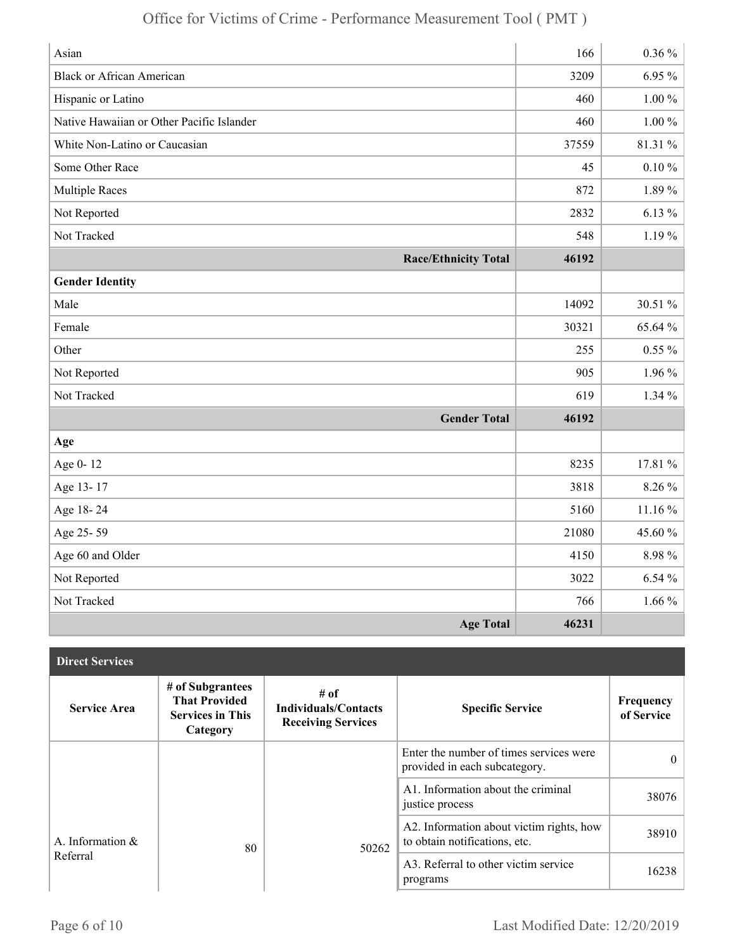| Asian                                     | 166   | $0.36\%$   |
|-------------------------------------------|-------|------------|
| <b>Black or African American</b>          | 3209  | $6.95\%$   |
| Hispanic or Latino                        | 460   | $1.00\%$   |
| Native Hawaiian or Other Pacific Islander | 460   | $1.00\%$   |
| White Non-Latino or Caucasian             | 37559 | 81.31 %    |
| Some Other Race                           | 45    | $0.10\,\%$ |
| <b>Multiple Races</b>                     | 872   | 1.89%      |
| Not Reported                              | 2832  | $6.13\%$   |
| Not Tracked                               | 548   | $1.19\%$   |
| <b>Race/Ethnicity Total</b>               | 46192 |            |
| <b>Gender Identity</b>                    |       |            |
| Male                                      | 14092 | 30.51 %    |
| Female                                    | 30321 | 65.64 %    |
| Other                                     | 255   | $0.55\%$   |
| Not Reported                              | 905   | $1.96\%$   |
| Not Tracked                               | 619   | $1.34\%$   |
| <b>Gender Total</b>                       | 46192 |            |
| Age                                       |       |            |
| Age 0-12                                  | 8235  | 17.81 %    |
| Age 13-17                                 | 3818  | 8.26 %     |
| Age 18-24                                 | 5160  | 11.16 %    |
| Age 25-59                                 | 21080 | 45.60%     |
| Age 60 and Older                          | 4150  | 8.98%      |
| Not Reported                              | 3022  | 6.54%      |
| Not Tracked                               | 766   | $1.66\%$   |
| <b>Age Total</b>                          | 46231 |            |

| <b>Direct Services</b> |                                                                                 |                                                                  |                                                                           |                         |
|------------------------|---------------------------------------------------------------------------------|------------------------------------------------------------------|---------------------------------------------------------------------------|-------------------------|
| <b>Service Area</b>    | # of Subgrantees<br><b>That Provided</b><br><b>Services in This</b><br>Category | # of<br><b>Individuals/Contacts</b><br><b>Receiving Services</b> | <b>Specific Service</b>                                                   | Frequency<br>of Service |
|                        |                                                                                 |                                                                  | Enter the number of times services were<br>provided in each subcategory.  | $\theta$                |
|                        |                                                                                 |                                                                  | A1. Information about the criminal<br>justice process                     | 38076                   |
| A. Information &       | 80                                                                              | 50262                                                            | A2. Information about victim rights, how<br>to obtain notifications, etc. | 38910                   |
| Referral               |                                                                                 |                                                                  | A3. Referral to other victim service<br>programs                          | 16238                   |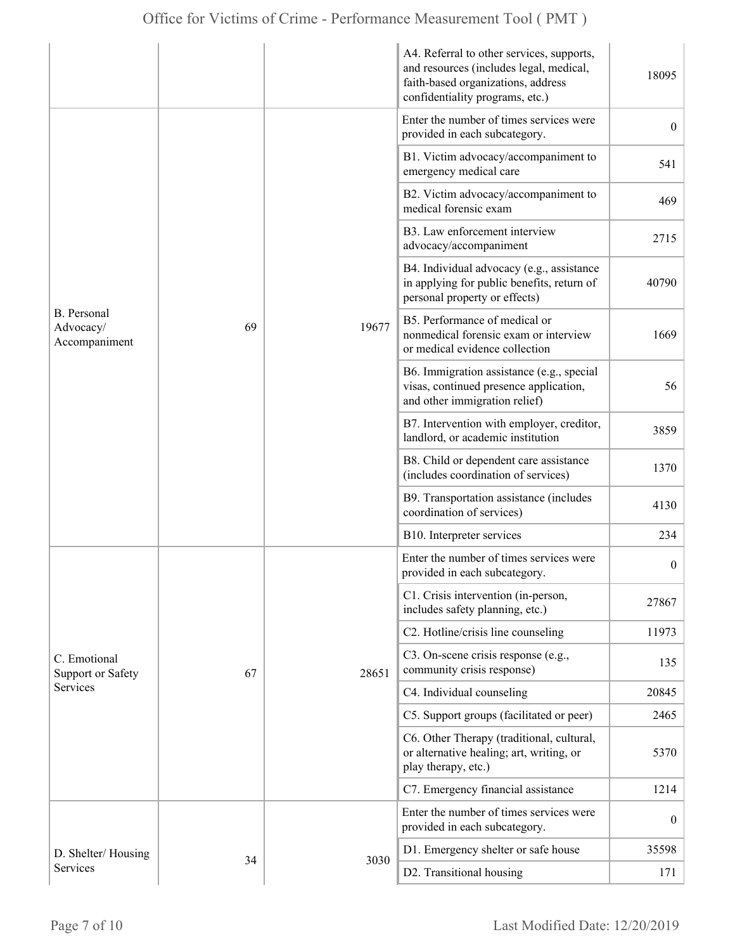|                                                  |    |       | A4. Referral to other services, supports,<br>and resources (includes legal, medical,<br>faith-based organizations, address<br>confidentiality programs, etc.) | 18095            |
|--------------------------------------------------|----|-------|---------------------------------------------------------------------------------------------------------------------------------------------------------------|------------------|
| <b>B.</b> Personal<br>Advocacy/<br>Accompaniment |    | 19677 | Enter the number of times services were<br>provided in each subcategory.                                                                                      | $\overline{0}$   |
|                                                  |    |       | B1. Victim advocacy/accompaniment to<br>emergency medical care                                                                                                | 541              |
|                                                  | 69 |       | B2. Victim advocacy/accompaniment to<br>medical forensic exam                                                                                                 | 469              |
|                                                  |    |       | B3. Law enforcement interview<br>advocacy/accompaniment                                                                                                       | 2715             |
|                                                  |    |       | B4. Individual advocacy (e.g., assistance<br>in applying for public benefits, return of<br>personal property or effects)                                      | 40790            |
|                                                  |    |       | B5. Performance of medical or<br>nonmedical forensic exam or interview<br>or medical evidence collection                                                      | 1669             |
|                                                  |    |       | B6. Immigration assistance (e.g., special<br>visas, continued presence application,<br>and other immigration relief)                                          | 56               |
|                                                  |    |       | B7. Intervention with employer, creditor,<br>landlord, or academic institution                                                                                | 3859             |
|                                                  |    |       | B8. Child or dependent care assistance<br>(includes coordination of services)                                                                                 | 1370             |
|                                                  |    |       | B9. Transportation assistance (includes<br>coordination of services)                                                                                          | 4130             |
|                                                  |    |       | B10. Interpreter services                                                                                                                                     | 234              |
|                                                  | 67 | 28651 | Enter the number of times services were<br>provided in each subcategory.                                                                                      | $\boldsymbol{0}$ |
|                                                  |    |       | C1. Crisis intervention (in-person,<br>includes safety planning, etc.)                                                                                        | 27867            |
|                                                  |    |       | C2. Hotline/crisis line counseling                                                                                                                            | 11973            |
| C. Emotional<br><b>Support or Safety</b>         |    |       | C3. On-scene crisis response (e.g.,<br>community crisis response)                                                                                             | 135              |
| Services                                         |    |       | C4. Individual counseling                                                                                                                                     | 20845            |
|                                                  |    |       | C5. Support groups (facilitated or peer)                                                                                                                      | 2465             |
|                                                  |    |       | C6. Other Therapy (traditional, cultural,<br>or alternative healing; art, writing, or<br>play therapy, etc.)                                                  | 5370             |
|                                                  |    |       | C7. Emergency financial assistance                                                                                                                            | 1214             |
|                                                  |    |       | Enter the number of times services were<br>provided in each subcategory.                                                                                      | $\overline{0}$   |
| D. Shelter/Housing                               |    |       | D1. Emergency shelter or safe house                                                                                                                           | 35598            |
| Services                                         | 34 | 3030  | D2. Transitional housing                                                                                                                                      | 171              |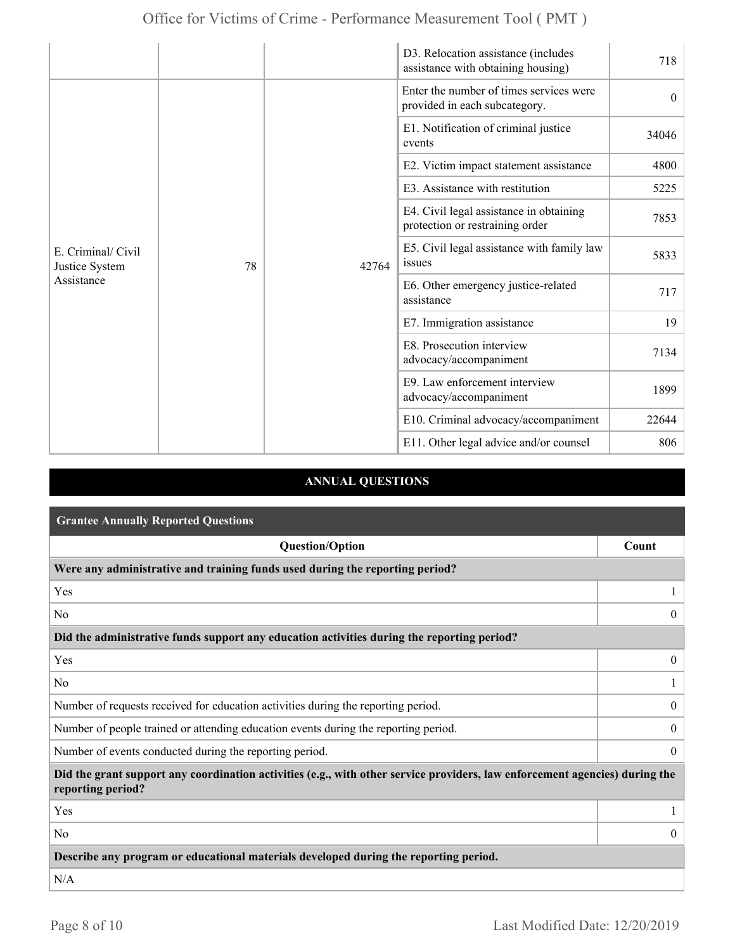|                                                    |    |       | D3. Relocation assistance (includes<br>assistance with obtaining housing)  | 718      |
|----------------------------------------------------|----|-------|----------------------------------------------------------------------------|----------|
| E. Criminal/ Civil<br>Justice System<br>Assistance |    |       | Enter the number of times services were<br>provided in each subcategory.   | $\theta$ |
|                                                    |    |       | E1. Notification of criminal justice<br>events                             | 34046    |
|                                                    |    |       | E2. Victim impact statement assistance                                     | 4800     |
|                                                    |    |       | E3. Assistance with restitution                                            | 5225     |
|                                                    |    |       | E4. Civil legal assistance in obtaining<br>protection or restraining order | 7853     |
|                                                    | 78 | 42764 | E5. Civil legal assistance with family law<br>issues                       | 5833     |
|                                                    |    |       | E6. Other emergency justice-related<br>assistance                          | 717      |
|                                                    |    |       | E7. Immigration assistance                                                 | 19       |
|                                                    |    |       | E8. Prosecution interview<br>advocacy/accompaniment                        | 7134     |
|                                                    |    |       | E9. Law enforcement interview<br>advocacy/accompaniment                    | 1899     |
|                                                    |    |       | E10. Criminal advocacy/accompaniment                                       | 22644    |
|                                                    |    |       | E11. Other legal advice and/or counsel                                     | 806      |

## **ANNUAL QUESTIONS**

| <b>Grantee Annually Reported Questions</b>                                                                                                       |                  |  |  |
|--------------------------------------------------------------------------------------------------------------------------------------------------|------------------|--|--|
| <b>Question/Option</b>                                                                                                                           | Count            |  |  |
| Were any administrative and training funds used during the reporting period?                                                                     |                  |  |  |
| Yes                                                                                                                                              |                  |  |  |
| N <sub>0</sub>                                                                                                                                   | $\theta$         |  |  |
| Did the administrative funds support any education activities during the reporting period?                                                       |                  |  |  |
| Yes                                                                                                                                              | $\overline{0}$   |  |  |
| N <sub>0</sub>                                                                                                                                   |                  |  |  |
| Number of requests received for education activities during the reporting period.                                                                | $\overline{0}$   |  |  |
| Number of people trained or attending education events during the reporting period.                                                              | $\boldsymbol{0}$ |  |  |
| Number of events conducted during the reporting period.                                                                                          | $\overline{0}$   |  |  |
| Did the grant support any coordination activities (e.g., with other service providers, law enforcement agencies) during the<br>reporting period? |                  |  |  |
| Yes                                                                                                                                              |                  |  |  |
| N <sub>0</sub>                                                                                                                                   | $\Omega$         |  |  |
| Describe any program or educational materials developed during the reporting period.                                                             |                  |  |  |
| N/A                                                                                                                                              |                  |  |  |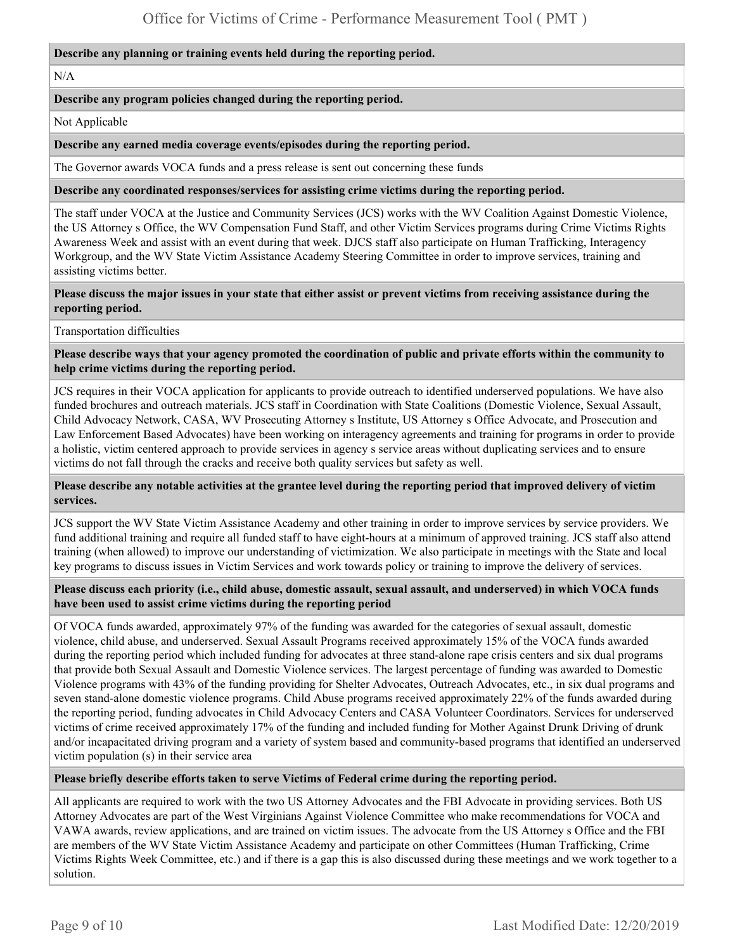#### **Describe any planning or training events held during the reporting period.**

#### N/A

#### **Describe any program policies changed during the reporting period.**

Not Applicable

#### **Describe any earned media coverage events/episodes during the reporting period.**

The Governor awards VOCA funds and a press release is sent out concerning these funds

#### **Describe any coordinated responses/services for assisting crime victims during the reporting period.**

The staff under VOCA at the Justice and Community Services (JCS) works with the WV Coalition Against Domestic Violence, the US Attorney s Office, the WV Compensation Fund Staff, and other Victim Services programs during Crime Victims Rights Awareness Week and assist with an event during that week. DJCS staff also participate on Human Trafficking, Interagency Workgroup, and the WV State Victim Assistance Academy Steering Committee in order to improve services, training and assisting victims better.

**Please discuss the major issues in your state that either assist or prevent victims from receiving assistance during the reporting period.** 

Transportation difficulties

**Please describe ways that your agency promoted the coordination of public and private efforts within the community to help crime victims during the reporting period.** 

JCS requires in their VOCA application for applicants to provide outreach to identified underserved populations. We have also funded brochures and outreach materials. JCS staff in Coordination with State Coalitions (Domestic Violence, Sexual Assault, Child Advocacy Network, CASA, WV Prosecuting Attorney s Institute, US Attorney s Office Advocate, and Prosecution and Law Enforcement Based Advocates) have been working on interagency agreements and training for programs in order to provide a holistic, victim centered approach to provide services in agency s service areas without duplicating services and to ensure victims do not fall through the cracks and receive both quality services but safety as well.

#### **Please describe any notable activities at the grantee level during the reporting period that improved delivery of victim services.**

JCS support the WV State Victim Assistance Academy and other training in order to improve services by service providers. We fund additional training and require all funded staff to have eight-hours at a minimum of approved training. JCS staff also attend training (when allowed) to improve our understanding of victimization. We also participate in meetings with the State and local key programs to discuss issues in Victim Services and work towards policy or training to improve the delivery of services.

#### **Please discuss each priority (i.e., child abuse, domestic assault, sexual assault, and underserved) in which VOCA funds have been used to assist crime victims during the reporting period**

Of VOCA funds awarded, approximately 97% of the funding was awarded for the categories of sexual assault, domestic violence, child abuse, and underserved. Sexual Assault Programs received approximately 15% of the VOCA funds awarded during the reporting period which included funding for advocates at three stand-alone rape crisis centers and six dual programs that provide both Sexual Assault and Domestic Violence services. The largest percentage of funding was awarded to Domestic Violence programs with 43% of the funding providing for Shelter Advocates, Outreach Advocates, etc., in six dual programs and seven stand-alone domestic violence programs. Child Abuse programs received approximately 22% of the funds awarded during the reporting period, funding advocates in Child Advocacy Centers and CASA Volunteer Coordinators. Services for underserved victims of crime received approximately 17% of the funding and included funding for Mother Against Drunk Driving of drunk and/or incapacitated driving program and a variety of system based and community-based programs that identified an underserved victim population (s) in their service area

#### **Please briefly describe efforts taken to serve Victims of Federal crime during the reporting period.**

All applicants are required to work with the two US Attorney Advocates and the FBI Advocate in providing services. Both US Attorney Advocates are part of the West Virginians Against Violence Committee who make recommendations for VOCA and VAWA awards, review applications, and are trained on victim issues. The advocate from the US Attorney s Office and the FBI are members of the WV State Victim Assistance Academy and participate on other Committees (Human Trafficking, Crime Victims Rights Week Committee, etc.) and if there is a gap this is also discussed during these meetings and we work together to a solution.